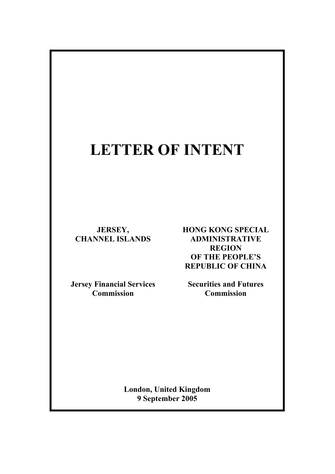# **LETTER OF INTENT**

**JERSEY, CHANNEL ISLANDS** 

**Jersey Financial Services Commission**

**HONG KONG SPECIAL ADMINISTRATIVE REGION OF THE PEOPLE'S REPUBLIC OF CHINA** 

**Securities and Futures Commission** 

**London, United Kingdom 9 September 2005**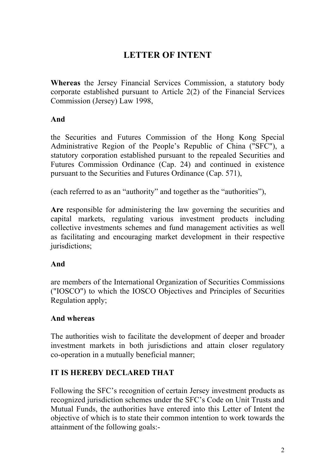## **LETTER OF INTENT**

**Whereas** the Jersey Financial Services Commission, a statutory body corporate established pursuant to Article 2(2) of the Financial Services Commission (Jersey) Law 1998,

#### **And**

the Securities and Futures Commission of the Hong Kong Special Administrative Region of the People's Republic of China ("SFC"), a statutory corporation established pursuant to the repealed Securities and Futures Commission Ordinance (Cap. 24) and continued in existence pursuant to the Securities and Futures Ordinance (Cap. 571),

(each referred to as an "authority" and together as the "authorities"),

**Are** responsible for administering the law governing the securities and capital markets, regulating various investment products including collective investments schemes and fund management activities as well as facilitating and encouraging market development in their respective jurisdictions;

#### **And**

are members of the International Organization of Securities Commissions ("IOSCO") to which the IOSCO Objectives and Principles of Securities Regulation apply;

#### **And whereas**

The authorities wish to facilitate the development of deeper and broader investment markets in both jurisdictions and attain closer regulatory co-operation in a mutually beneficial manner;

### **IT IS HEREBY DECLARED THAT**

Following the SFC's recognition of certain Jersey investment products as recognized jurisdiction schemes under the SFC's Code on Unit Trusts and Mutual Funds, the authorities have entered into this Letter of Intent the objective of which is to state their common intention to work towards the attainment of the following goals:-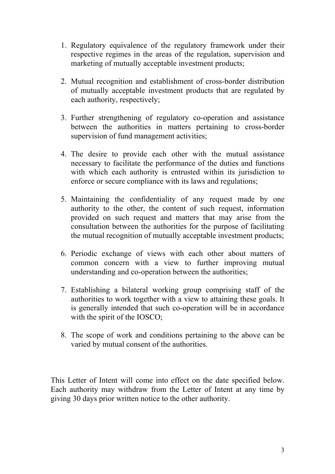- 1. Regulatory equivalence of the regulatory framework under their respective regimes in the areas of the regulation, supervision and marketing of mutually acceptable investment products;
- 2. Mutual recognition and establishment of cross-border distribution of mutually acceptable investment products that are regulated by each authority, respectively;
- 3. Further strengthening of regulatory co-operation and assistance between the authorities in matters pertaining to cross-border supervision of fund management activities;
- 4. The desire to provide each other with the mutual assistance necessary to facilitate the performance of the duties and functions with which each authority is entrusted within its jurisdiction to enforce or secure compliance with its laws and regulations;
- 5. Maintaining the confidentiality of any request made by one authority to the other, the content of such request, information provided on such request and matters that may arise from the consultation between the authorities for the purpose of facilitating the mutual recognition of mutually acceptable investment products;
- 6. Periodic exchange of views with each other about matters of common concern with a view to further improving mutual understanding and co-operation between the authorities;
- 7. Establishing a bilateral working group comprising staff of the authorities to work together with a view to attaining these goals. It is generally intended that such co-operation will be in accordance with the spirit of the IOSCO;
- 8. The scope of work and conditions pertaining to the above can be varied by mutual consent of the authorities.

This Letter of Intent will come into effect on the date specified below. Each authority may withdraw from the Letter of Intent at any time by giving 30 days prior written notice to the other authority.